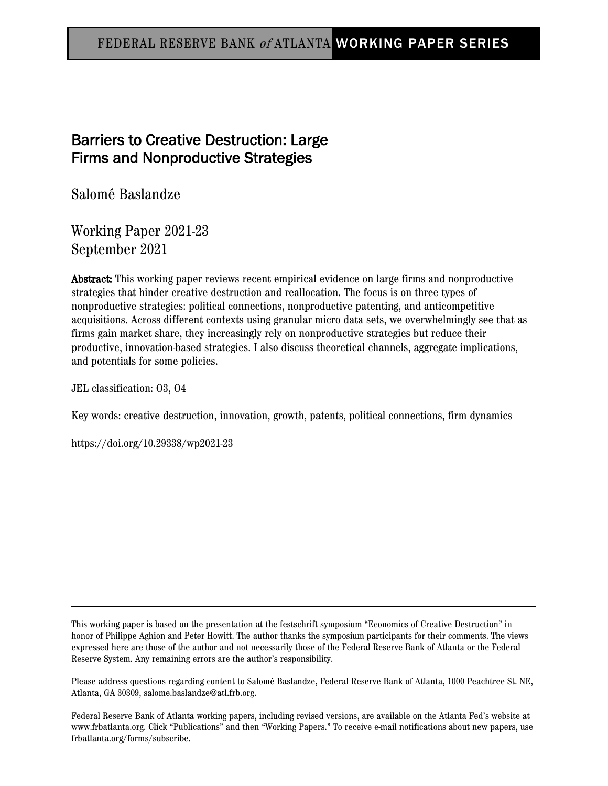### FEDERAL RESERVE BANK <sup>o</sup><sup>f</sup> ATLANTA WORKING PAPER SERIES

# Barriers to Creative Destruction: Large Firms and Nonproductive Strategies

Salomé Baslandze

Working Paper 2021-23 September 2021

Abstract: This working paper reviews recent empirical evidence on large firms and nonproductive strategies that hinder creative destruction and reallocation. The focus is on three types of nonproductive strategies: political connections, nonproductive patenting, and anticompetitive acquisitions. Across different contexts using granular micro data sets, we overwhelmingly see that as firms gain market share, they increasingly rely on nonproductive strategies but reduce their productive, innovation-based strategies. I also discuss theoretical channels, aggregate implications, and potentials for some policies.

JEL classification: O3, O4

Key words: creative destruction, innovation, growth, patents, political connections, firm dynamics

https://doi.org/10.29338/wp2021-23

This working paper is based on the presentation at the festschrift symposium "Economics of Creative Destruction" in honor of Philippe Aghion and Peter Howitt. The author thanks the symposium participants for their comments. The views expressed here are those of the author and not necessarily those of the Federal Reserve Bank of Atlanta or the Federal Reserve System. Any remaining errors are the author's responsibility.

Please address questions regarding content to Salomé Baslandze, Federal Reserve Bank of Atlanta, 1000 Peachtree St. NE, Atlanta, GA 30309, salome.baslandze@atl.frb.org.

Federal Reserve Bank of Atlanta working papers, including revised versions, are available on the Atlanta Fed's website at www.frbatlanta.org. Click "Publications" and then "Working Papers." To receive e-mail notifications about new papers, use frbatlanta.org/forms/subscribe.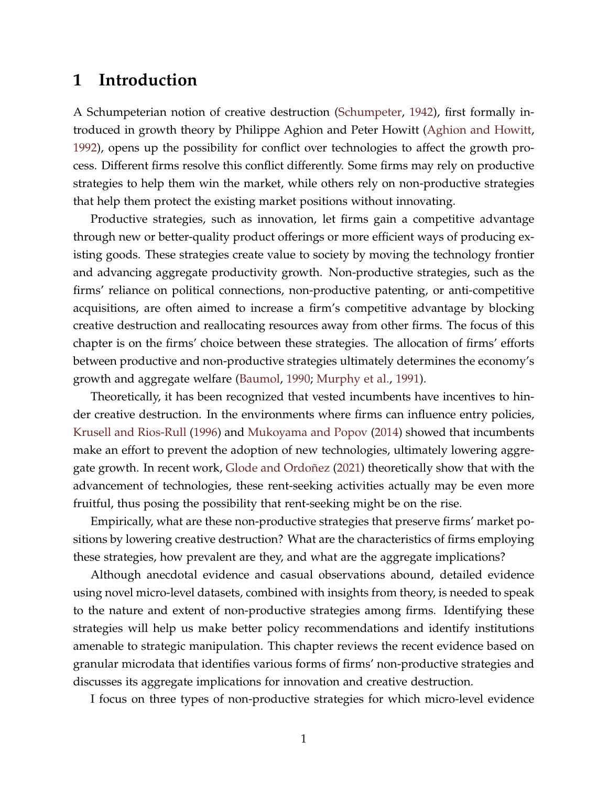# **1 Introduction**

A Schumpeterian notion of creative destruction [\(Schumpeter,](#page-19-0) [1942\)](#page-19-0), first formally introduced in growth theory by Philippe Aghion and Peter Howitt [\(Aghion and Howitt,](#page-15-0) [1992\)](#page-15-0), opens up the possibility for conflict over technologies to affect the growth process. Different firms resolve this conflict differently. Some firms may rely on productive strategies to help them win the market, while others rely on non-productive strategies that help them protect the existing market positions without innovating.

Productive strategies, such as innovation, let firms gain a competitive advantage through new or better-quality product offerings or more efficient ways of producing existing goods. These strategies create value to society by moving the technology frontier and advancing aggregate productivity growth. Non-productive strategies, such as the firms' reliance on political connections, non-productive patenting, or anti-competitive acquisitions, are often aimed to increase a firm's competitive advantage by blocking creative destruction and reallocating resources away from other firms. The focus of this chapter is on the firms' choice between these strategies. The allocation of firms' efforts between productive and non-productive strategies ultimately determines the economy's growth and aggregate welfare [\(Baumol,](#page-16-0) [1990;](#page-16-0) [Murphy et al.,](#page-19-1) [1991\)](#page-19-1).

Theoretically, it has been recognized that vested incumbents have incentives to hinder creative destruction. In the environments where firms can influence entry policies, [Krusell and Rios-Rull](#page-18-0) [\(1996\)](#page-18-0) and [Mukoyama and Popov](#page-18-1) [\(2014\)](#page-18-1) showed that incumbents make an effort to prevent the adoption of new technologies, ultimately lowering aggregate growth. In recent work, [Glode and Ordoñez](#page-17-0) [\(2021\)](#page-17-0) theoretically show that with the advancement of technologies, these rent-seeking activities actually may be even more fruitful, thus posing the possibility that rent-seeking might be on the rise.

Empirically, what are these non-productive strategies that preserve firms' market positions by lowering creative destruction? What are the characteristics of firms employing these strategies, how prevalent are they, and what are the aggregate implications?

Although anecdotal evidence and casual observations abound, detailed evidence using novel micro-level datasets, combined with insights from theory, is needed to speak to the nature and extent of non-productive strategies among firms. Identifying these strategies will help us make better policy recommendations and identify institutions amenable to strategic manipulation. This chapter reviews the recent evidence based on granular microdata that identifies various forms of firms' non-productive strategies and discusses its aggregate implications for innovation and creative destruction.

I focus on three types of non-productive strategies for which micro-level evidence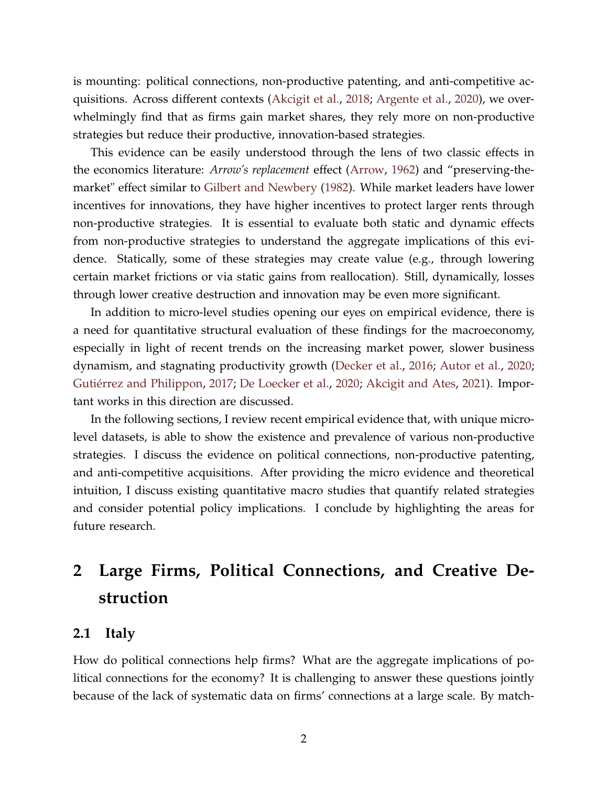is mounting: political connections, non-productive patenting, and anti-competitive acquisitions. Across different contexts [\(Akcigit et al.,](#page-16-1) [2018;](#page-16-1) [Argente et al.,](#page-16-2) [2020\)](#page-16-2), we overwhelmingly find that as firms gain market shares, they rely more on non-productive strategies but reduce their productive, innovation-based strategies.

This evidence can be easily understood through the lens of two classic effects in the economics literature: *Arrow's replacement* effect [\(Arrow,](#page-16-3) [1962\)](#page-16-3) and "preserving-themarket" effect similar to [Gilbert and Newbery](#page-17-1) [\(1982\)](#page-17-1). While market leaders have lower incentives for innovations, they have higher incentives to protect larger rents through non-productive strategies. It is essential to evaluate both static and dynamic effects from non-productive strategies to understand the aggregate implications of this evidence. Statically, some of these strategies may create value (e.g., through lowering certain market frictions or via static gains from reallocation). Still, dynamically, losses through lower creative destruction and innovation may be even more significant.

In addition to micro-level studies opening our eyes on empirical evidence, there is a need for quantitative structural evaluation of these findings for the macroeconomy, especially in light of recent trends on the increasing market power, slower business dynamism, and stagnating productivity growth [\(Decker et al.,](#page-17-2) [2016;](#page-17-2) [Autor et al.,](#page-16-4) [2020;](#page-16-4) [Gutiérrez and Philippon,](#page-18-2) [2017;](#page-18-2) [De Loecker et al.,](#page-18-3) [2020;](#page-18-3) [Akcigit and Ates,](#page-16-5) [2021\)](#page-16-5). Important works in this direction are discussed.

In the following sections, I review recent empirical evidence that, with unique microlevel datasets, is able to show the existence and prevalence of various non-productive strategies. I discuss the evidence on political connections, non-productive patenting, and anti-competitive acquisitions. After providing the micro evidence and theoretical intuition, I discuss existing quantitative macro studies that quantify related strategies and consider potential policy implications. I conclude by highlighting the areas for future research.

# **2 Large Firms, Political Connections, and Creative Destruction**

#### **2.1 Italy**

How do political connections help firms? What are the aggregate implications of political connections for the economy? It is challenging to answer these questions jointly because of the lack of systematic data on firms' connections at a large scale. By match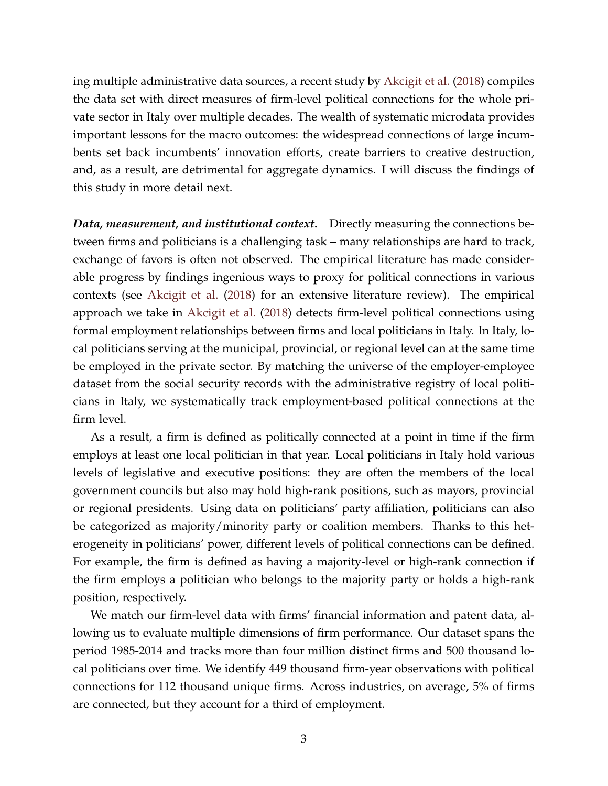ing multiple administrative data sources, a recent study by [Akcigit et al.](#page-16-1) [\(2018\)](#page-16-1) compiles the data set with direct measures of firm-level political connections for the whole private sector in Italy over multiple decades. The wealth of systematic microdata provides important lessons for the macro outcomes: the widespread connections of large incumbents set back incumbents' innovation efforts, create barriers to creative destruction, and, as a result, are detrimental for aggregate dynamics. I will discuss the findings of this study in more detail next.

*Data, measurement, and institutional context.* Directly measuring the connections between firms and politicians is a challenging task – many relationships are hard to track, exchange of favors is often not observed. The empirical literature has made considerable progress by findings ingenious ways to proxy for political connections in various contexts (see [Akcigit et al.](#page-16-1) [\(2018\)](#page-16-1) for an extensive literature review). The empirical approach we take in [Akcigit et al.](#page-16-1) [\(2018\)](#page-16-1) detects firm-level political connections using formal employment relationships between firms and local politicians in Italy. In Italy, local politicians serving at the municipal, provincial, or regional level can at the same time be employed in the private sector. By matching the universe of the employer-employee dataset from the social security records with the administrative registry of local politicians in Italy, we systematically track employment-based political connections at the firm level.

As a result, a firm is defined as politically connected at a point in time if the firm employs at least one local politician in that year. Local politicians in Italy hold various levels of legislative and executive positions: they are often the members of the local government councils but also may hold high-rank positions, such as mayors, provincial or regional presidents. Using data on politicians' party affiliation, politicians can also be categorized as majority/minority party or coalition members. Thanks to this heterogeneity in politicians' power, different levels of political connections can be defined. For example, the firm is defined as having a majority-level or high-rank connection if the firm employs a politician who belongs to the majority party or holds a high-rank position, respectively.

We match our firm-level data with firms' financial information and patent data, allowing us to evaluate multiple dimensions of firm performance. Our dataset spans the period 1985-2014 and tracks more than four million distinct firms and 500 thousand local politicians over time. We identify 449 thousand firm-year observations with political connections for 112 thousand unique firms. Across industries, on average, 5% of firms are connected, but they account for a third of employment.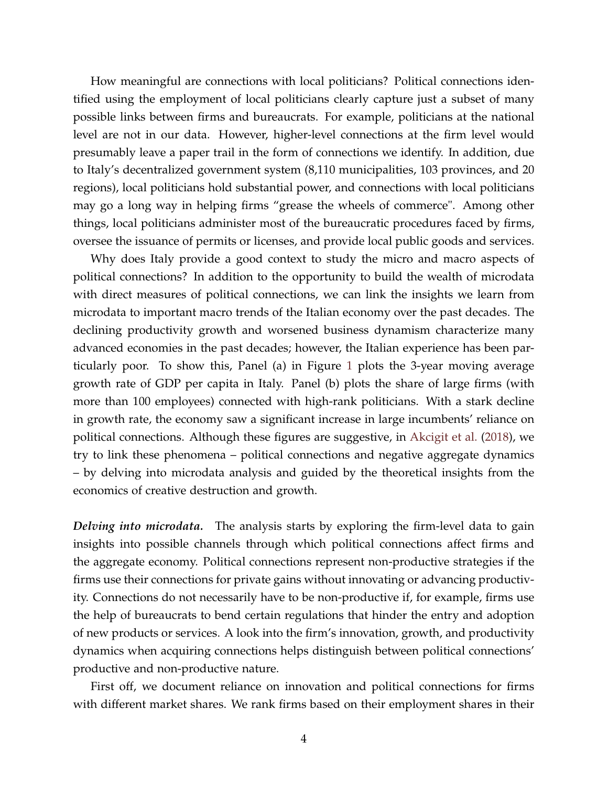How meaningful are connections with local politicians? Political connections identified using the employment of local politicians clearly capture just a subset of many possible links between firms and bureaucrats. For example, politicians at the national level are not in our data. However, higher-level connections at the firm level would presumably leave a paper trail in the form of connections we identify. In addition, due to Italy's decentralized government system (8,110 municipalities, 103 provinces, and 20 regions), local politicians hold substantial power, and connections with local politicians may go a long way in helping firms "grease the wheels of commerce". Among other things, local politicians administer most of the bureaucratic procedures faced by firms, oversee the issuance of permits or licenses, and provide local public goods and services.

Why does Italy provide a good context to study the micro and macro aspects of political connections? In addition to the opportunity to build the wealth of microdata with direct measures of political connections, we can link the insights we learn from microdata to important macro trends of the Italian economy over the past decades. The declining productivity growth and worsened business dynamism characterize many advanced economies in the past decades; however, the Italian experience has been particularly poor. To show this, Panel (a) in Figure [1](#page-5-0) plots the 3-year moving average growth rate of GDP per capita in Italy. Panel (b) plots the share of large firms (with more than 100 employees) connected with high-rank politicians. With a stark decline in growth rate, the economy saw a significant increase in large incumbents' reliance on political connections. Although these figures are suggestive, in [Akcigit et al.](#page-16-1) [\(2018\)](#page-16-1), we try to link these phenomena – political connections and negative aggregate dynamics – by delving into microdata analysis and guided by the theoretical insights from the economics of creative destruction and growth.

*Delving into microdata.* The analysis starts by exploring the firm-level data to gain insights into possible channels through which political connections affect firms and the aggregate economy. Political connections represent non-productive strategies if the firms use their connections for private gains without innovating or advancing productivity. Connections do not necessarily have to be non-productive if, for example, firms use the help of bureaucrats to bend certain regulations that hinder the entry and adoption of new products or services. A look into the firm's innovation, growth, and productivity dynamics when acquiring connections helps distinguish between political connections' productive and non-productive nature.

First off, we document reliance on innovation and political connections for firms with different market shares. We rank firms based on their employment shares in their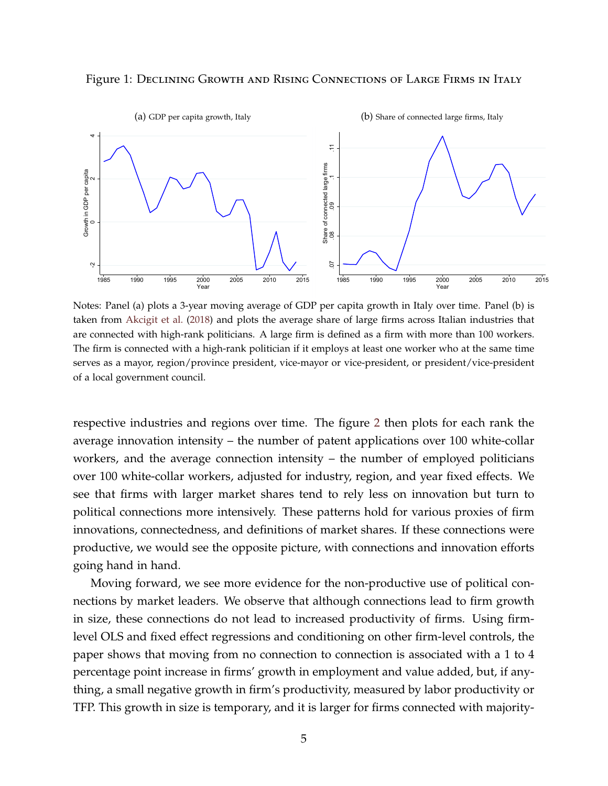<span id="page-5-0"></span>



Notes: Panel (a) plots a 3-year moving average of GDP per capita growth in Italy over time. Panel (b) is taken from [Akcigit et al.](#page-16-1) [\(2018\)](#page-16-1) and plots the average share of large firms across Italian industries that are connected with high-rank politicians. A large firm is defined as a firm with more than 100 workers. The firm is connected with a high-rank politician if it employs at least one worker who at the same time serves as a mayor, region/province president, vice-mayor or vice-president, or president/vice-president of a local government council.

respective industries and regions over time. The figure [2](#page-7-0) then plots for each rank the average innovation intensity – the number of patent applications over 100 white-collar workers, and the average connection intensity – the number of employed politicians over 100 white-collar workers, adjusted for industry, region, and year fixed effects. We see that firms with larger market shares tend to rely less on innovation but turn to political connections more intensively. These patterns hold for various proxies of firm innovations, connectedness, and definitions of market shares. If these connections were productive, we would see the opposite picture, with connections and innovation efforts going hand in hand.

Moving forward, we see more evidence for the non-productive use of political connections by market leaders. We observe that although connections lead to firm growth in size, these connections do not lead to increased productivity of firms. Using firmlevel OLS and fixed effect regressions and conditioning on other firm-level controls, the paper shows that moving from no connection to connection is associated with a 1 to 4 percentage point increase in firms' growth in employment and value added, but, if anything, a small negative growth in firm's productivity, measured by labor productivity or TFP. This growth in size is temporary, and it is larger for firms connected with majority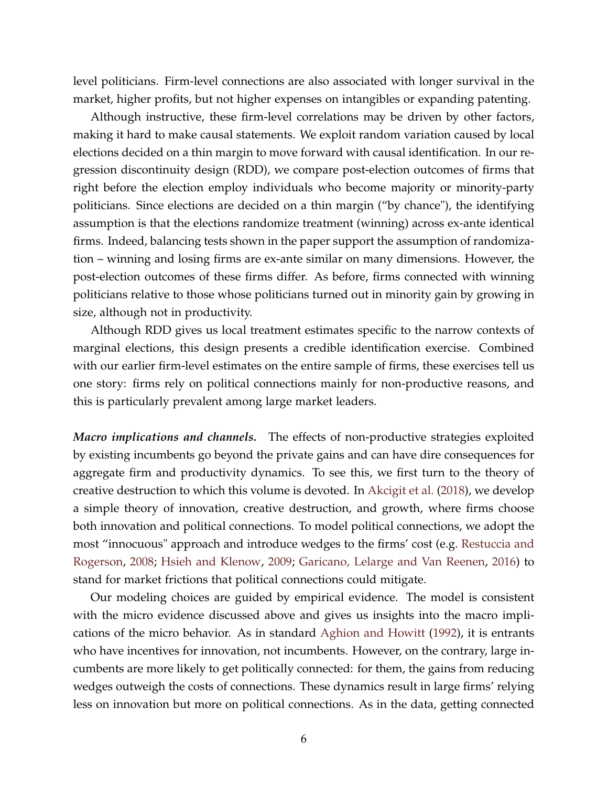level politicians. Firm-level connections are also associated with longer survival in the market, higher profits, but not higher expenses on intangibles or expanding patenting.

Although instructive, these firm-level correlations may be driven by other factors, making it hard to make causal statements. We exploit random variation caused by local elections decided on a thin margin to move forward with causal identification. In our regression discontinuity design (RDD), we compare post-election outcomes of firms that right before the election employ individuals who become majority or minority-party politicians. Since elections are decided on a thin margin ("by chance"), the identifying assumption is that the elections randomize treatment (winning) across ex-ante identical firms. Indeed, balancing tests shown in the paper support the assumption of randomization – winning and losing firms are ex-ante similar on many dimensions. However, the post-election outcomes of these firms differ. As before, firms connected with winning politicians relative to those whose politicians turned out in minority gain by growing in size, although not in productivity.

Although RDD gives us local treatment estimates specific to the narrow contexts of marginal elections, this design presents a credible identification exercise. Combined with our earlier firm-level estimates on the entire sample of firms, these exercises tell us one story: firms rely on political connections mainly for non-productive reasons, and this is particularly prevalent among large market leaders.

*Macro implications and channels.* The effects of non-productive strategies exploited by existing incumbents go beyond the private gains and can have dire consequences for aggregate firm and productivity dynamics. To see this, we first turn to the theory of creative destruction to which this volume is devoted. In [Akcigit et al.](#page-16-1) [\(2018\)](#page-16-1), we develop a simple theory of innovation, creative destruction, and growth, where firms choose both innovation and political connections. To model political connections, we adopt the most "innocuous" approach and introduce wedges to the firms' cost (e.g. [Restuccia and](#page-19-2) [Rogerson,](#page-19-2) [2008;](#page-19-2) [Hsieh and Klenow,](#page-18-4) [2009;](#page-18-4) [Garicano, Lelarge and Van Reenen,](#page-17-3) [2016\)](#page-17-3) to stand for market frictions that political connections could mitigate.

Our modeling choices are guided by empirical evidence. The model is consistent with the micro evidence discussed above and gives us insights into the macro implications of the micro behavior. As in standard [Aghion and Howitt](#page-15-0) [\(1992\)](#page-15-0), it is entrants who have incentives for innovation, not incumbents. However, on the contrary, large incumbents are more likely to get politically connected: for them, the gains from reducing wedges outweigh the costs of connections. These dynamics result in large firms' relying less on innovation but more on political connections. As in the data, getting connected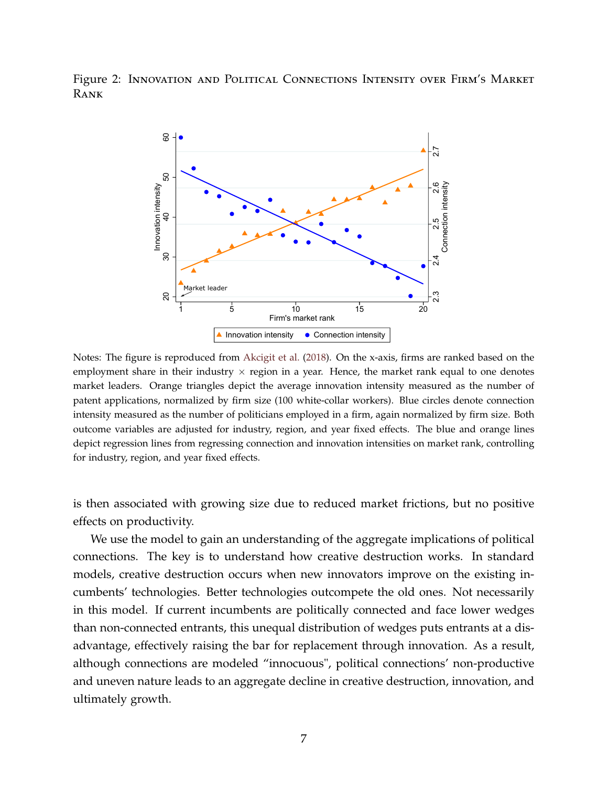<span id="page-7-0"></span>Figure 2: Innovation and Political Connections Intensity over Firm's Market Rank



Notes: The figure is reproduced from [Akcigit et al.](#page-16-1) [\(2018\)](#page-16-1). On the x-axis, firms are ranked based on the employment share in their industry  $\times$  region in a year. Hence, the market rank equal to one denotes market leaders. Orange triangles depict the average innovation intensity measured as the number of patent applications, normalized by firm size (100 white-collar workers). Blue circles denote connection intensity measured as the number of politicians employed in a firm, again normalized by firm size. Both outcome variables are adjusted for industry, region, and year fixed effects. The blue and orange lines depict regression lines from regressing connection and innovation intensities on market rank, controlling for industry, region, and year fixed effects.

is then associated with growing size due to reduced market frictions, but no positive effects on productivity.

We use the model to gain an understanding of the aggregate implications of political connections. The key is to understand how creative destruction works. In standard models, creative destruction occurs when new innovators improve on the existing incumbents' technologies. Better technologies outcompete the old ones. Not necessarily in this model. If current incumbents are politically connected and face lower wedges than non-connected entrants, this unequal distribution of wedges puts entrants at a disadvantage, effectively raising the bar for replacement through innovation. As a result, although connections are modeled "innocuous", political connections' non-productive and uneven nature leads to an aggregate decline in creative destruction, innovation, and ultimately growth.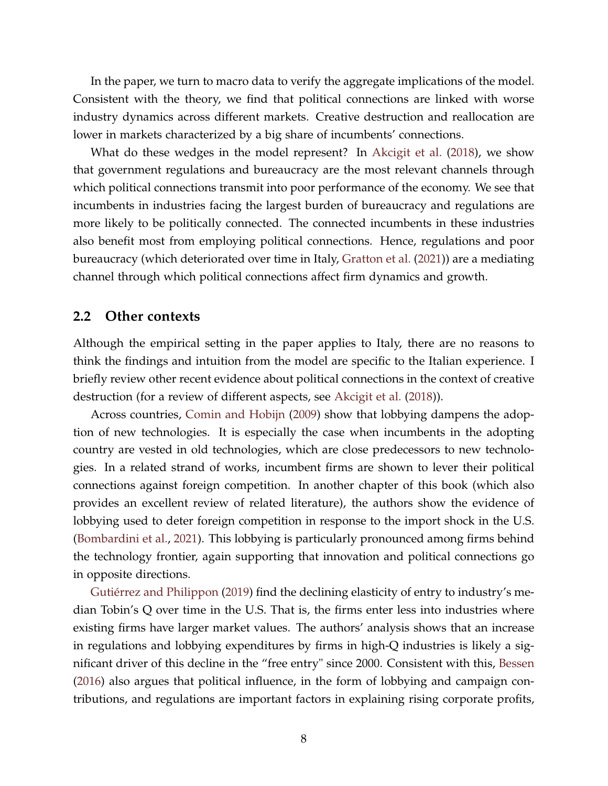In the paper, we turn to macro data to verify the aggregate implications of the model. Consistent with the theory, we find that political connections are linked with worse industry dynamics across different markets. Creative destruction and reallocation are lower in markets characterized by a big share of incumbents' connections.

What do these wedges in the model represent? In [Akcigit et al.](#page-16-1) [\(2018\)](#page-16-1), we show that government regulations and bureaucracy are the most relevant channels through which political connections transmit into poor performance of the economy. We see that incumbents in industries facing the largest burden of bureaucracy and regulations are more likely to be politically connected. The connected incumbents in these industries also benefit most from employing political connections. Hence, regulations and poor bureaucracy (which deteriorated over time in Italy, [Gratton et al.](#page-18-5) [\(2021\)](#page-18-5)) are a mediating channel through which political connections affect firm dynamics and growth.

#### **2.2 Other contexts**

Although the empirical setting in the paper applies to Italy, there are no reasons to think the findings and intuition from the model are specific to the Italian experience. I briefly review other recent evidence about political connections in the context of creative destruction (for a review of different aspects, see [Akcigit et al.](#page-16-1) [\(2018\)](#page-16-1)).

Across countries, [Comin and Hobijn](#page-17-4) [\(2009\)](#page-17-4) show that lobbying dampens the adoption of new technologies. It is especially the case when incumbents in the adopting country are vested in old technologies, which are close predecessors to new technologies. In a related strand of works, incumbent firms are shown to lever their political connections against foreign competition. In another chapter of this book (which also provides an excellent review of related literature), the authors show the evidence of lobbying used to deter foreign competition in response to the import shock in the U.S. [\(Bombardini et al.,](#page-17-5) [2021\)](#page-17-5). This lobbying is particularly pronounced among firms behind the technology frontier, again supporting that innovation and political connections go in opposite directions.

[Gutiérrez and Philippon](#page-18-6) [\(2019\)](#page-18-6) find the declining elasticity of entry to industry's median Tobin's Q over time in the U.S. That is, the firms enter less into industries where existing firms have larger market values. The authors' analysis shows that an increase in regulations and lobbying expenditures by firms in high-Q industries is likely a significant driver of this decline in the "free entry" since 2000. Consistent with this, [Bessen](#page-16-6) [\(2016\)](#page-16-6) also argues that political influence, in the form of lobbying and campaign contributions, and regulations are important factors in explaining rising corporate profits,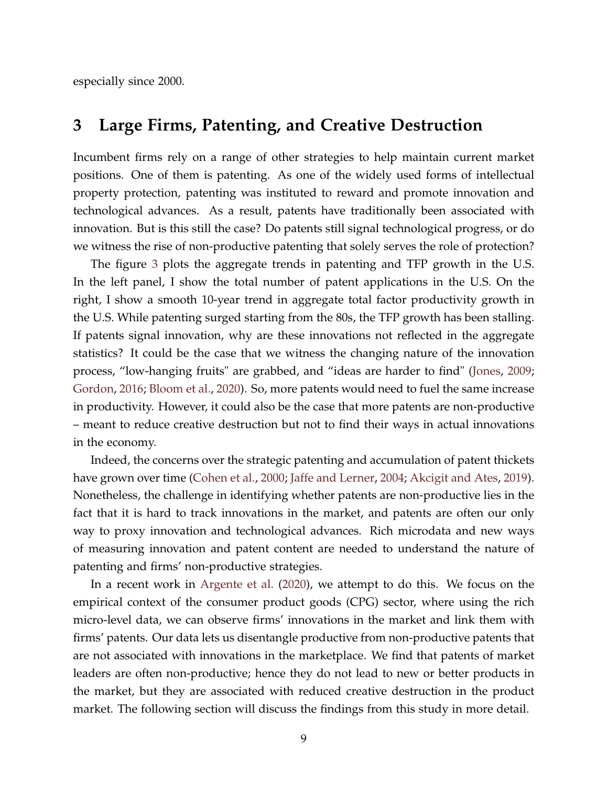especially since 2000.

## **3 Large Firms, Patenting, and Creative Destruction**

Incumbent firms rely on a range of other strategies to help maintain current market positions. One of them is patenting. As one of the widely used forms of intellectual property protection, patenting was instituted to reward and promote innovation and technological advances. As a result, patents have traditionally been associated with innovation. But is this still the case? Do patents still signal technological progress, or do we witness the rise of non-productive patenting that solely serves the role of protection?

The figure [3](#page-10-0) plots the aggregate trends in patenting and TFP growth in the U.S. In the left panel, I show the total number of patent applications in the U.S. On the right, I show a smooth 10-year trend in aggregate total factor productivity growth in the U.S. While patenting surged starting from the 80s, the TFP growth has been stalling. If patents signal innovation, why are these innovations not reflected in the aggregate statistics? It could be the case that we witness the changing nature of the innovation process, "low-hanging fruits" are grabbed, and "ideas are harder to find" [\(Jones,](#page-18-7) [2009;](#page-18-7) [Gordon,](#page-18-8) [2016;](#page-18-8) [Bloom et al.,](#page-17-6) [2020\)](#page-17-6). So, more patents would need to fuel the same increase in productivity. However, it could also be the case that more patents are non-productive – meant to reduce creative destruction but not to find their ways in actual innovations in the economy.

Indeed, the concerns over the strategic patenting and accumulation of patent thickets have grown over time [\(Cohen et al.,](#page-17-7) [2000;](#page-17-7) [Jaffe and Lerner,](#page-18-9) [2004;](#page-18-9) [Akcigit and Ates,](#page-16-7) [2019\)](#page-16-7). Nonetheless, the challenge in identifying whether patents are non-productive lies in the fact that it is hard to track innovations in the market, and patents are often our only way to proxy innovation and technological advances. Rich microdata and new ways of measuring innovation and patent content are needed to understand the nature of patenting and firms' non-productive strategies.

In a recent work in [Argente et al.](#page-16-2) [\(2020\)](#page-16-2), we attempt to do this. We focus on the empirical context of the consumer product goods (CPG) sector, where using the rich micro-level data, we can observe firms' innovations in the market and link them with firms' patents. Our data lets us disentangle productive from non-productive patents that are not associated with innovations in the marketplace. We find that patents of market leaders are often non-productive; hence they do not lead to new or better products in the market, but they are associated with reduced creative destruction in the product market. The following section will discuss the findings from this study in more detail.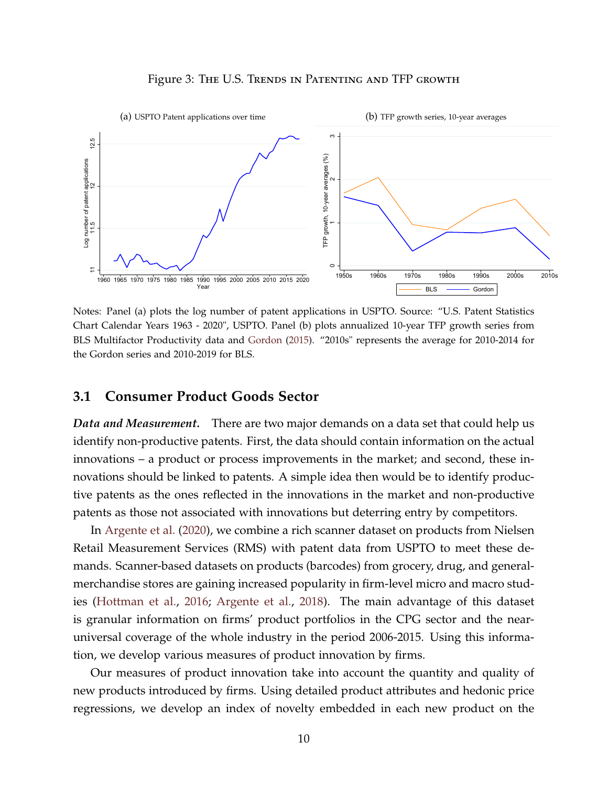

<span id="page-10-0"></span>

Notes: Panel (a) plots the log number of patent applications in USPTO. Source: "U.S. Patent Statistics Chart Calendar Years 1963 - 2020", USPTO. Panel (b) plots annualized 10-year TFP growth series from BLS Multifactor Productivity data and [Gordon](#page-18-10) [\(2015\)](#page-18-10). "2010s" represents the average for 2010-2014 for the Gordon series and 2010-2019 for BLS.

#### **3.1 Consumer Product Goods Sector**

*Data and Measurement.* There are two major demands on a data set that could help us identify non-productive patents. First, the data should contain information on the actual innovations – a product or process improvements in the market; and second, these innovations should be linked to patents. A simple idea then would be to identify productive patents as the ones reflected in the innovations in the market and non-productive patents as those not associated with innovations but deterring entry by competitors.

In [Argente et al.](#page-16-2) [\(2020\)](#page-16-2), we combine a rich scanner dataset on products from Nielsen Retail Measurement Services (RMS) with patent data from USPTO to meet these demands. Scanner-based datasets on products (barcodes) from grocery, drug, and generalmerchandise stores are gaining increased popularity in firm-level micro and macro studies [\(Hottman et al.,](#page-18-11) [2016;](#page-18-11) [Argente et al.,](#page-16-8) [2018\)](#page-16-8). The main advantage of this dataset is granular information on firms' product portfolios in the CPG sector and the nearuniversal coverage of the whole industry in the period 2006-2015. Using this information, we develop various measures of product innovation by firms.

Our measures of product innovation take into account the quantity and quality of new products introduced by firms. Using detailed product attributes and hedonic price regressions, we develop an index of novelty embedded in each new product on the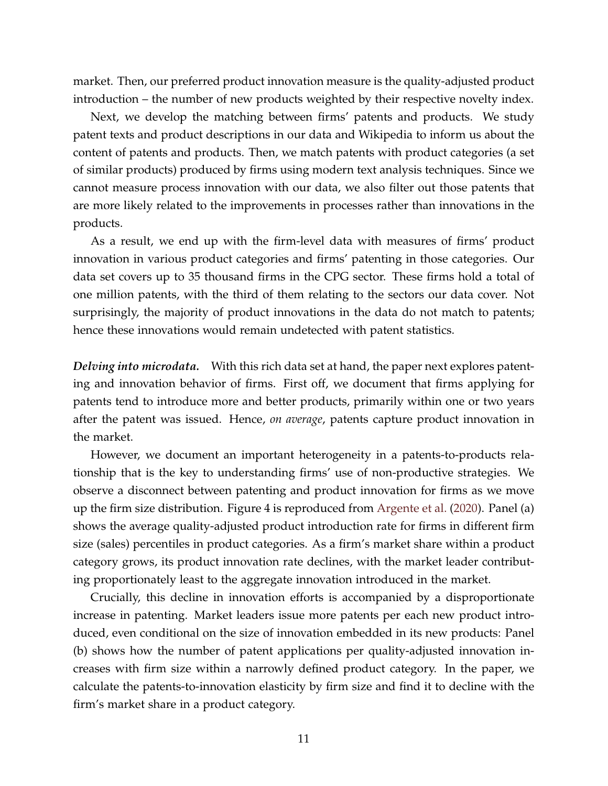market. Then, our preferred product innovation measure is the quality-adjusted product introduction – the number of new products weighted by their respective novelty index.

Next, we develop the matching between firms' patents and products. We study patent texts and product descriptions in our data and Wikipedia to inform us about the content of patents and products. Then, we match patents with product categories (a set of similar products) produced by firms using modern text analysis techniques. Since we cannot measure process innovation with our data, we also filter out those patents that are more likely related to the improvements in processes rather than innovations in the products.

As a result, we end up with the firm-level data with measures of firms' product innovation in various product categories and firms' patenting in those categories. Our data set covers up to 35 thousand firms in the CPG sector. These firms hold a total of one million patents, with the third of them relating to the sectors our data cover. Not surprisingly, the majority of product innovations in the data do not match to patents; hence these innovations would remain undetected with patent statistics.

*Delving into microdata.* With this rich data set at hand, the paper next explores patenting and innovation behavior of firms. First off, we document that firms applying for patents tend to introduce more and better products, primarily within one or two years after the patent was issued. Hence, *on average*, patents capture product innovation in the market.

However, we document an important heterogeneity in a patents-to-products relationship that is the key to understanding firms' use of non-productive strategies. We observe a disconnect between patenting and product innovation for firms as we move up the firm size distribution. Figure 4 is reproduced from [Argente et al.](#page-16-2) [\(2020\)](#page-16-2). Panel (a) shows the average quality-adjusted product introduction rate for firms in different firm size (sales) percentiles in product categories. As a firm's market share within a product category grows, its product innovation rate declines, with the market leader contributing proportionately least to the aggregate innovation introduced in the market.

Crucially, this decline in innovation efforts is accompanied by a disproportionate increase in patenting. Market leaders issue more patents per each new product introduced, even conditional on the size of innovation embedded in its new products: Panel (b) shows how the number of patent applications per quality-adjusted innovation increases with firm size within a narrowly defined product category. In the paper, we calculate the patents-to-innovation elasticity by firm size and find it to decline with the firm's market share in a product category.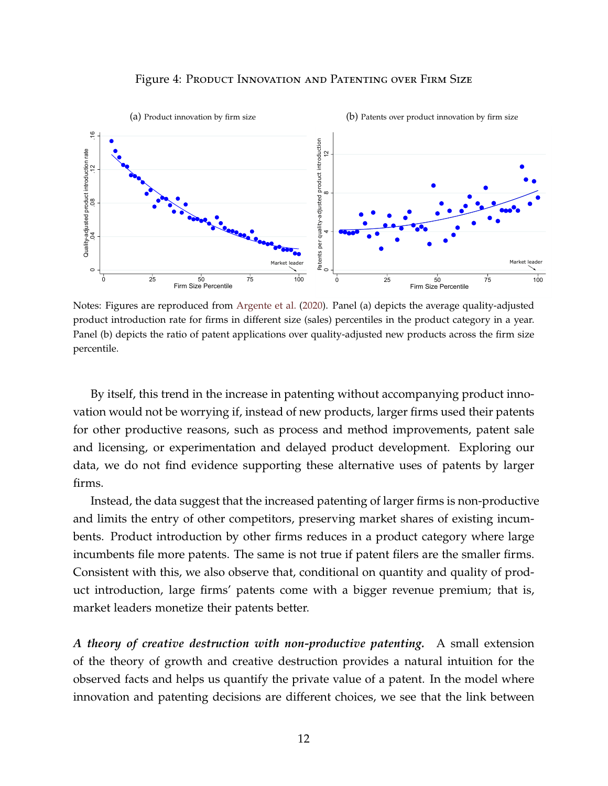#### Figure 4: Product Innovation and Patenting over Firm Size



Notes: Figures are reproduced from [Argente et al.](#page-16-2) [\(2020\)](#page-16-2). Panel (a) depicts the average quality-adjusted product introduction rate for firms in different size (sales) percentiles in the product category in a year. Panel (b) depicts the ratio of patent applications over quality-adjusted new products across the firm size percentile.

By itself, this trend in the increase in patenting without accompanying product innovation would not be worrying if, instead of new products, larger firms used their patents for other productive reasons, such as process and method improvements, patent sale and licensing, or experimentation and delayed product development. Exploring our data, we do not find evidence supporting these alternative uses of patents by larger firms.

Instead, the data suggest that the increased patenting of larger firms is non-productive and limits the entry of other competitors, preserving market shares of existing incumbents. Product introduction by other firms reduces in a product category where large incumbents file more patents. The same is not true if patent filers are the smaller firms. Consistent with this, we also observe that, conditional on quantity and quality of product introduction, large firms' patents come with a bigger revenue premium; that is, market leaders monetize their patents better.

*A theory of creative destruction with non-productive patenting.* A small extension of the theory of growth and creative destruction provides a natural intuition for the observed facts and helps us quantify the private value of a patent. In the model where innovation and patenting decisions are different choices, we see that the link between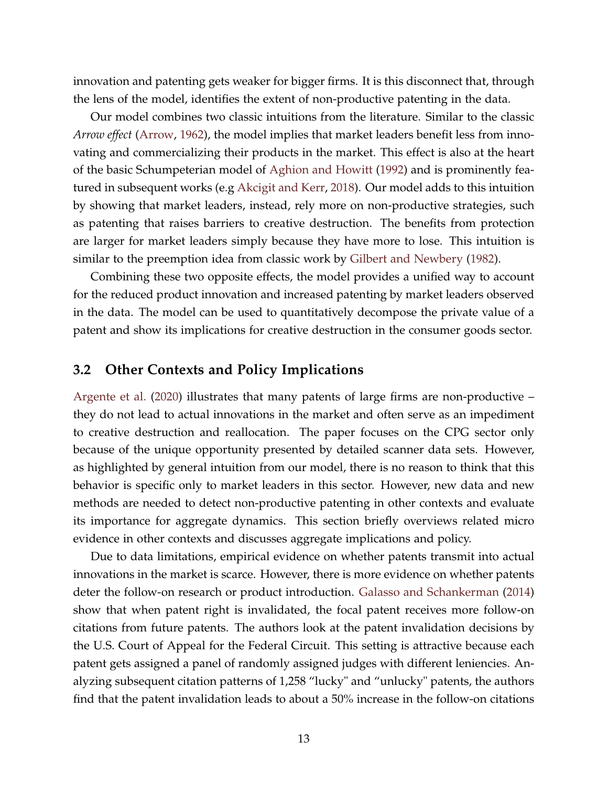innovation and patenting gets weaker for bigger firms. It is this disconnect that, through the lens of the model, identifies the extent of non-productive patenting in the data.

Our model combines two classic intuitions from the literature. Similar to the classic *Arrow effect* [\(Arrow,](#page-16-3) [1962\)](#page-16-3), the model implies that market leaders benefit less from innovating and commercializing their products in the market. This effect is also at the heart of the basic Schumpeterian model of [Aghion and Howitt](#page-15-0) [\(1992\)](#page-15-0) and is prominently featured in subsequent works (e.g [Akcigit and Kerr,](#page-16-9) [2018\)](#page-16-9). Our model adds to this intuition by showing that market leaders, instead, rely more on non-productive strategies, such as patenting that raises barriers to creative destruction. The benefits from protection are larger for market leaders simply because they have more to lose. This intuition is similar to the preemption idea from classic work by [Gilbert and Newbery](#page-17-1) [\(1982\)](#page-17-1).

Combining these two opposite effects, the model provides a unified way to account for the reduced product innovation and increased patenting by market leaders observed in the data. The model can be used to quantitatively decompose the private value of a patent and show its implications for creative destruction in the consumer goods sector.

#### **3.2 Other Contexts and Policy Implications**

[Argente et al.](#page-16-2) [\(2020\)](#page-16-2) illustrates that many patents of large firms are non-productive – they do not lead to actual innovations in the market and often serve as an impediment to creative destruction and reallocation. The paper focuses on the CPG sector only because of the unique opportunity presented by detailed scanner data sets. However, as highlighted by general intuition from our model, there is no reason to think that this behavior is specific only to market leaders in this sector. However, new data and new methods are needed to detect non-productive patenting in other contexts and evaluate its importance for aggregate dynamics. This section briefly overviews related micro evidence in other contexts and discusses aggregate implications and policy.

Due to data limitations, empirical evidence on whether patents transmit into actual innovations in the market is scarce. However, there is more evidence on whether patents deter the follow-on research or product introduction. [Galasso and Schankerman](#page-17-8) [\(2014\)](#page-17-8) show that when patent right is invalidated, the focal patent receives more follow-on citations from future patents. The authors look at the patent invalidation decisions by the U.S. Court of Appeal for the Federal Circuit. This setting is attractive because each patent gets assigned a panel of randomly assigned judges with different leniencies. Analyzing subsequent citation patterns of 1,258 "lucky" and "unlucky" patents, the authors find that the patent invalidation leads to about a 50% increase in the follow-on citations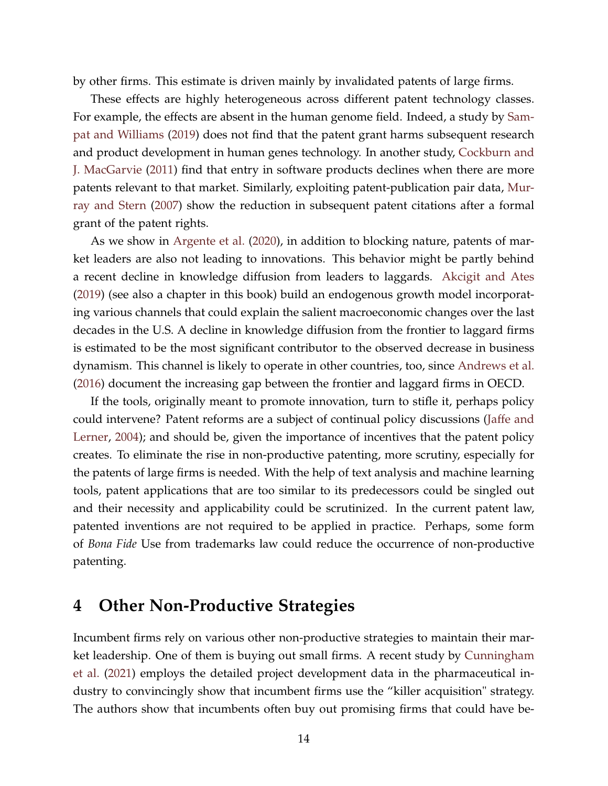by other firms. This estimate is driven mainly by invalidated patents of large firms.

These effects are highly heterogeneous across different patent technology classes. For example, the effects are absent in the human genome field. Indeed, a study by [Sam](#page-19-3)[pat and Williams](#page-19-3) [\(2019\)](#page-19-3) does not find that the patent grant harms subsequent research and product development in human genes technology. In another study, [Cockburn and](#page-17-9) [J. MacGarvie](#page-17-9) [\(2011\)](#page-17-9) find that entry in software products declines when there are more patents relevant to that market. Similarly, exploiting patent-publication pair data, [Mur](#page-19-4)[ray and Stern](#page-19-4) [\(2007\)](#page-19-4) show the reduction in subsequent patent citations after a formal grant of the patent rights.

As we show in [Argente et al.](#page-16-2) [\(2020\)](#page-16-2), in addition to blocking nature, patents of market leaders are also not leading to innovations. This behavior might be partly behind a recent decline in knowledge diffusion from leaders to laggards. [Akcigit and Ates](#page-16-7) [\(2019\)](#page-16-7) (see also a chapter in this book) build an endogenous growth model incorporating various channels that could explain the salient macroeconomic changes over the last decades in the U.S. A decline in knowledge diffusion from the frontier to laggard firms is estimated to be the most significant contributor to the observed decrease in business dynamism. This channel is likely to operate in other countries, too, since [Andrews et al.](#page-16-10) [\(2016\)](#page-16-10) document the increasing gap between the frontier and laggard firms in OECD.

If the tools, originally meant to promote innovation, turn to stifle it, perhaps policy could intervene? Patent reforms are a subject of continual policy discussions [\(Jaffe and](#page-18-9) [Lerner,](#page-18-9) [2004\)](#page-18-9); and should be, given the importance of incentives that the patent policy creates. To eliminate the rise in non-productive patenting, more scrutiny, especially for the patents of large firms is needed. With the help of text analysis and machine learning tools, patent applications that are too similar to its predecessors could be singled out and their necessity and applicability could be scrutinized. In the current patent law, patented inventions are not required to be applied in practice. Perhaps, some form of *Bona Fide* Use from trademarks law could reduce the occurrence of non-productive patenting.

## **4 Other Non-Productive Strategies**

Incumbent firms rely on various other non-productive strategies to maintain their market leadership. One of them is buying out small firms. A recent study by [Cunningham](#page-17-10) [et al.](#page-17-10) [\(2021\)](#page-17-10) employs the detailed project development data in the pharmaceutical industry to convincingly show that incumbent firms use the "killer acquisition" strategy. The authors show that incumbents often buy out promising firms that could have be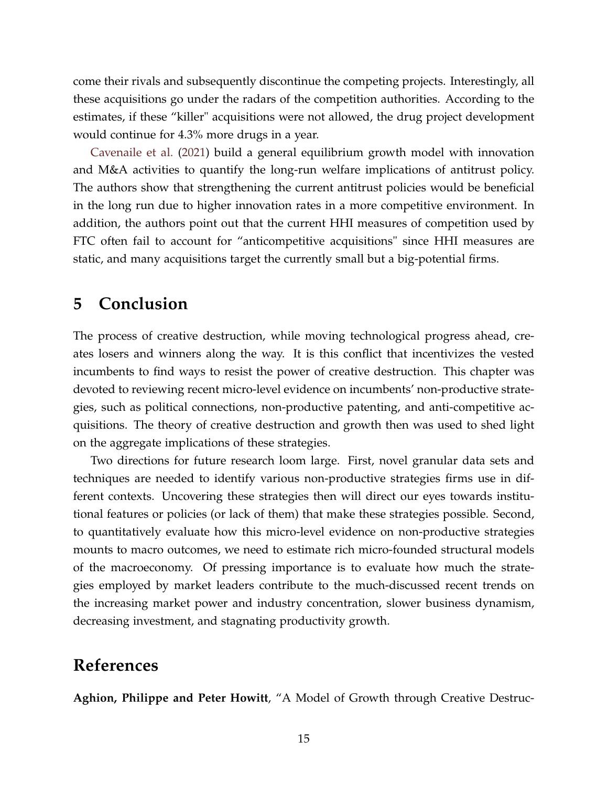come their rivals and subsequently discontinue the competing projects. Interestingly, all these acquisitions go under the radars of the competition authorities. According to the estimates, if these "killer" acquisitions were not allowed, the drug project development would continue for 4.3% more drugs in a year.

[Cavenaile et al.](#page-17-11) [\(2021\)](#page-17-11) build a general equilibrium growth model with innovation and M&A activities to quantify the long-run welfare implications of antitrust policy. The authors show that strengthening the current antitrust policies would be beneficial in the long run due to higher innovation rates in a more competitive environment. In addition, the authors point out that the current HHI measures of competition used by FTC often fail to account for "anticompetitive acquisitions" since HHI measures are static, and many acquisitions target the currently small but a big-potential firms.

## **5 Conclusion**

The process of creative destruction, while moving technological progress ahead, creates losers and winners along the way. It is this conflict that incentivizes the vested incumbents to find ways to resist the power of creative destruction. This chapter was devoted to reviewing recent micro-level evidence on incumbents' non-productive strategies, such as political connections, non-productive patenting, and anti-competitive acquisitions. The theory of creative destruction and growth then was used to shed light on the aggregate implications of these strategies.

Two directions for future research loom large. First, novel granular data sets and techniques are needed to identify various non-productive strategies firms use in different contexts. Uncovering these strategies then will direct our eyes towards institutional features or policies (or lack of them) that make these strategies possible. Second, to quantitatively evaluate how this micro-level evidence on non-productive strategies mounts to macro outcomes, we need to estimate rich micro-founded structural models of the macroeconomy. Of pressing importance is to evaluate how much the strategies employed by market leaders contribute to the much-discussed recent trends on the increasing market power and industry concentration, slower business dynamism, decreasing investment, and stagnating productivity growth.

# **References**

<span id="page-15-0"></span>**Aghion, Philippe and Peter Howitt**, "A Model of Growth through Creative Destruc-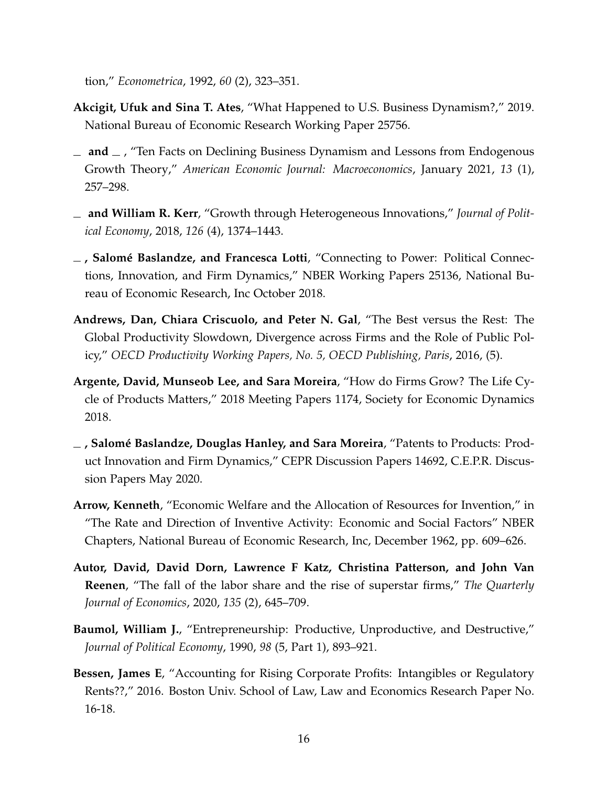tion," *Econometrica*, 1992, *60* (2), 323–351.

- <span id="page-16-7"></span>**Akcigit, Ufuk and Sina T. Ates**, "What Happened to U.S. Business Dynamism?," 2019. National Bureau of Economic Research Working Paper 25756.
- <span id="page-16-5"></span> $\mu$  and  $\mu$ , "Ten Facts on Declining Business Dynamism and Lessons from Endogenous Growth Theory," *American Economic Journal: Macroeconomics*, January 2021, *13* (1), 257–298.
- <span id="page-16-9"></span>**and William R. Kerr**, "Growth through Heterogeneous Innovations," *Journal of Political Economy*, 2018, *126* (4), 1374–1443.
- <span id="page-16-1"></span>**, Salomé Baslandze, and Francesca Lotti**, "Connecting to Power: Political Connections, Innovation, and Firm Dynamics," NBER Working Papers 25136, National Bureau of Economic Research, Inc October 2018.
- <span id="page-16-10"></span>**Andrews, Dan, Chiara Criscuolo, and Peter N. Gal**, "The Best versus the Rest: The Global Productivity Slowdown, Divergence across Firms and the Role of Public Policy," *OECD Productivity Working Papers, No. 5, OECD Publishing, Paris*, 2016, (5).
- <span id="page-16-8"></span>**Argente, David, Munseob Lee, and Sara Moreira**, "How do Firms Grow? The Life Cycle of Products Matters," 2018 Meeting Papers 1174, Society for Economic Dynamics 2018.
- <span id="page-16-2"></span>**, Salomé Baslandze, Douglas Hanley, and Sara Moreira**, "Patents to Products: Product Innovation and Firm Dynamics," CEPR Discussion Papers 14692, C.E.P.R. Discussion Papers May 2020.
- <span id="page-16-3"></span>**Arrow, Kenneth**, "Economic Welfare and the Allocation of Resources for Invention," in "The Rate and Direction of Inventive Activity: Economic and Social Factors" NBER Chapters, National Bureau of Economic Research, Inc, December 1962, pp. 609–626.
- <span id="page-16-4"></span>**Autor, David, David Dorn, Lawrence F Katz, Christina Patterson, and John Van Reenen**, "The fall of the labor share and the rise of superstar firms," *The Quarterly Journal of Economics*, 2020, *135* (2), 645–709.
- <span id="page-16-0"></span>**Baumol, William J.,** "Entrepreneurship: Productive, Unproductive, and Destructive," *Journal of Political Economy*, 1990, *98* (5, Part 1), 893–921.
- <span id="page-16-6"></span>**Bessen, James E**, "Accounting for Rising Corporate Profits: Intangibles or Regulatory Rents??," 2016. Boston Univ. School of Law, Law and Economics Research Paper No. 16-18.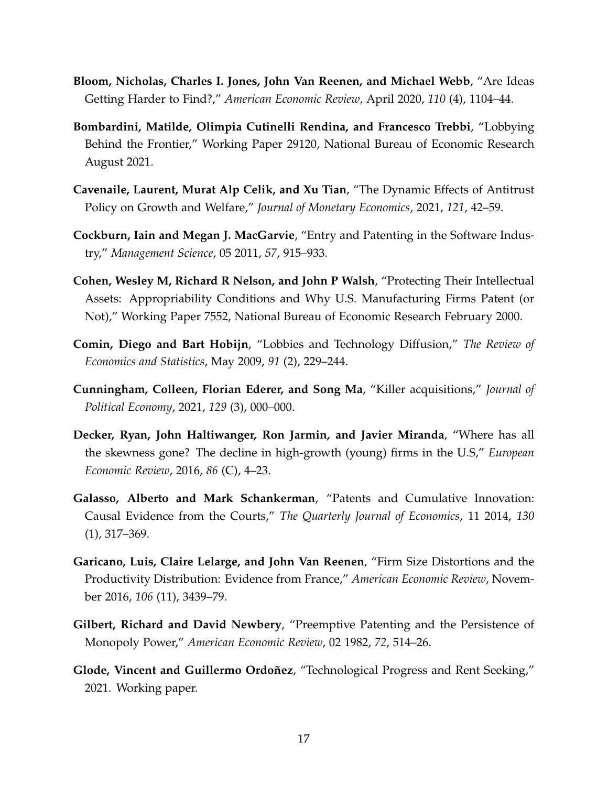- <span id="page-17-6"></span>**Bloom, Nicholas, Charles I. Jones, John Van Reenen, and Michael Webb**, "Are Ideas Getting Harder to Find?," *American Economic Review*, April 2020, *110* (4), 1104–44.
- <span id="page-17-5"></span>**Bombardini, Matilde, Olimpia Cutinelli Rendina, and Francesco Trebbi**, "Lobbying Behind the Frontier," Working Paper 29120, National Bureau of Economic Research August 2021.
- <span id="page-17-11"></span>**Cavenaile, Laurent, Murat Alp Celik, and Xu Tian**, "The Dynamic Effects of Antitrust Policy on Growth and Welfare," *Journal of Monetary Economics*, 2021, *121*, 42–59.
- <span id="page-17-9"></span>**Cockburn, Iain and Megan J. MacGarvie**, "Entry and Patenting in the Software Industry," *Management Science*, 05 2011, *57*, 915–933.
- <span id="page-17-7"></span>**Cohen, Wesley M, Richard R Nelson, and John P Walsh**, "Protecting Their Intellectual Assets: Appropriability Conditions and Why U.S. Manufacturing Firms Patent (or Not)," Working Paper 7552, National Bureau of Economic Research February 2000.
- <span id="page-17-4"></span>**Comin, Diego and Bart Hobijn**, "Lobbies and Technology Diffusion," *The Review of Economics and Statistics*, May 2009, *91* (2), 229–244.
- <span id="page-17-10"></span>**Cunningham, Colleen, Florian Ederer, and Song Ma**, "Killer acquisitions," *Journal of Political Economy*, 2021, *129* (3), 000–000.
- <span id="page-17-2"></span>**Decker, Ryan, John Haltiwanger, Ron Jarmin, and Javier Miranda**, "Where has all the skewness gone? The decline in high-growth (young) firms in the U.S," *European Economic Review*, 2016, *86* (C), 4–23.
- <span id="page-17-8"></span>**Galasso, Alberto and Mark Schankerman**, "Patents and Cumulative Innovation: Causal Evidence from the Courts," *The Quarterly Journal of Economics*, 11 2014, *130* (1), 317–369.
- <span id="page-17-3"></span>**Garicano, Luis, Claire Lelarge, and John Van Reenen**, "Firm Size Distortions and the Productivity Distribution: Evidence from France," *American Economic Review*, November 2016, *106* (11), 3439–79.
- <span id="page-17-1"></span>**Gilbert, Richard and David Newbery**, "Preemptive Patenting and the Persistence of Monopoly Power," *American Economic Review*, 02 1982, *72*, 514–26.
- <span id="page-17-0"></span>**Glode, Vincent and Guillermo Ordoñez**, "Technological Progress and Rent Seeking," 2021. Working paper.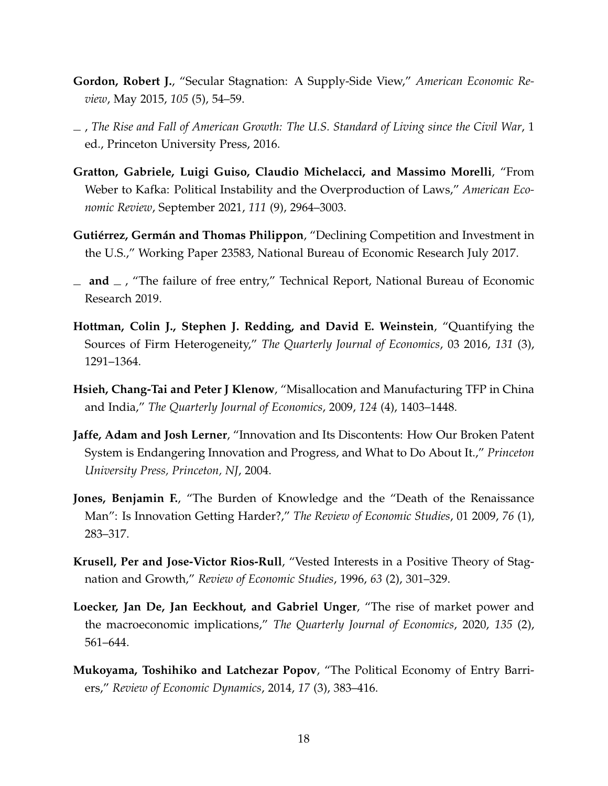- <span id="page-18-10"></span>**Gordon, Robert J.**, "Secular Stagnation: A Supply-Side View," *American Economic Review*, May 2015, *105* (5), 54–59.
- <span id="page-18-8"></span>, *The Rise and Fall of American Growth: The U.S. Standard of Living since the Civil War*, 1 ed., Princeton University Press, 2016.
- <span id="page-18-5"></span>**Gratton, Gabriele, Luigi Guiso, Claudio Michelacci, and Massimo Morelli**, "From Weber to Kafka: Political Instability and the Overproduction of Laws," *American Economic Review*, September 2021, *111* (9), 2964–3003.
- <span id="page-18-2"></span>**Gutiérrez, Germán and Thomas Philippon**, "Declining Competition and Investment in the U.S.," Working Paper 23583, National Bureau of Economic Research July 2017.
- <span id="page-18-6"></span> $\equiv$  **and**  $\equiv$ , "The failure of free entry," Technical Report, National Bureau of Economic Research 2019.
- <span id="page-18-11"></span>**Hottman, Colin J., Stephen J. Redding, and David E. Weinstein**, "Quantifying the Sources of Firm Heterogeneity," *The Quarterly Journal of Economics*, 03 2016, *131* (3), 1291–1364.
- <span id="page-18-4"></span>**Hsieh, Chang-Tai and Peter J Klenow**, "Misallocation and Manufacturing TFP in China and India," *The Quarterly Journal of Economics*, 2009, *124* (4), 1403–1448.
- <span id="page-18-9"></span>**Jaffe, Adam and Josh Lerner**, "Innovation and Its Discontents: How Our Broken Patent System is Endangering Innovation and Progress, and What to Do About It.," *Princeton University Press, Princeton, NJ*, 2004.
- <span id="page-18-7"></span>**Jones, Benjamin F.**, "The Burden of Knowledge and the "Death of the Renaissance Man": Is Innovation Getting Harder?," *The Review of Economic Studies*, 01 2009, *76* (1), 283–317.
- <span id="page-18-0"></span>**Krusell, Per and Jose-Victor Rios-Rull**, "Vested Interests in a Positive Theory of Stagnation and Growth," *Review of Economic Studies*, 1996, *63* (2), 301–329.
- <span id="page-18-3"></span>**Loecker, Jan De, Jan Eeckhout, and Gabriel Unger**, "The rise of market power and the macroeconomic implications," *The Quarterly Journal of Economics*, 2020, *135* (2), 561–644.
- <span id="page-18-1"></span>**Mukoyama, Toshihiko and Latchezar Popov**, "The Political Economy of Entry Barriers," *Review of Economic Dynamics*, 2014, *17* (3), 383–416.